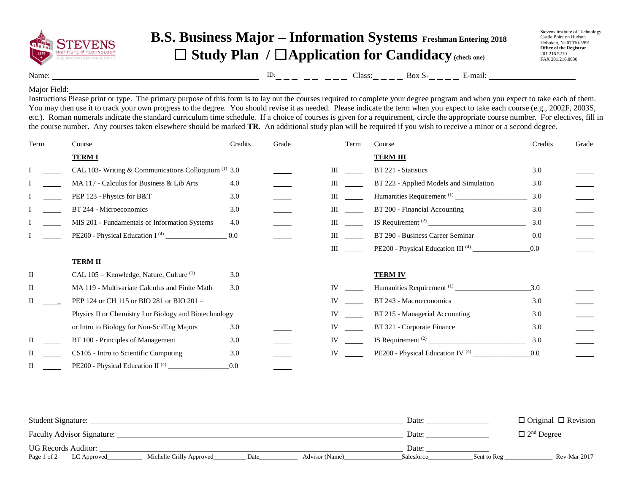

## **B.S. Business Major – Information Systems Freshman Entering <sup>2018</sup>** ☐ **Study Plan /** ☐**Application for Candidacy (check one)**

Stevens Institute of Technology Castle Point on Hudson Hoboken, NJ 07030-5991 **Office of the Registrar** 201.216.5210 FAX 201.216.8030

Name: Class: Box S- E-mail: ID:

## Major Field:

Instructions Please print or type. The primary purpose of this form is to lay out the courses required to complete your degree program and when you expect to take each of them. You may then use it to track your own progress to the degree. You should revise it as needed. Please indicate the term when you expect to take each course (e.g., 2002F, 2003S, etc.). Roman numerals indicate the standard curriculum time schedule. If a choice of courses is given for a requirement, circle the appropriate course number. For electives, fill in the course number. Any courses taken elsewhere should be marked **TR**. An additional study plan will be required if you wish to receive a minor or a second degree.

| Term | Course                                                 | Credits | Grade | Term               | Course                                        | Credits | Grade |
|------|--------------------------------------------------------|---------|-------|--------------------|-----------------------------------------------|---------|-------|
|      | <b>TERM I</b>                                          |         |       |                    | <b>TERM III</b>                               |         |       |
|      | CAL 103- Writing & Communications Colloquium (1) 3.0   |         |       | Ш                  | BT 221 - Statistics                           | 3.0     |       |
|      | MA 117 - Calculus for Business & Lib Arts              | 4.0     |       | Ш                  | BT 223 - Applied Models and Simulation        | 3.0     |       |
|      | PEP 123 - Physics for B&T                              | 3.0     |       | Ш                  |                                               | 3.0     |       |
|      | BT 244 - Microeconomics                                | 3.0     |       | Ш                  | BT 200 - Financial Accounting                 | 3.0     |       |
|      | MIS 201 - Fundamentals of Information Systems          | 4.0     |       | Ш                  |                                               | 3.0     |       |
|      |                                                        | 0.0     |       | Ш                  | BT 290 - Business Career Seminar              | 0.0     |       |
|      |                                                        |         |       | $\mathop{\rm III}$ | PE200 - Physical Education III <sup>(4)</sup> | 0.0     |       |
|      | <b>TERM II</b>                                         |         |       |                    |                                               |         |       |
|      | CAL 105 – Knowledge, Nature, Culture <sup>(1)</sup>    | 3.0     |       |                    | <b>TERM IV</b>                                |         |       |
| П    | MA 119 - Multivariate Calculus and Finite Math         | 3.0     |       | IV                 |                                               | 3.0     |       |
| П    | PEP 124 or CH 115 or BIO 281 or BIO 201 -              |         |       | IV                 | BT 243 - Macroeconomics                       | 3.0     |       |
|      | Physics II or Chemistry I or Biology and Biotechnology |         |       | IV                 | BT 215 - Managerial Accounting                | 3.0     |       |
|      | or Intro to Biology for Non-Sci/Eng Majors             | 3.0     |       | IV                 | BT 321 - Corporate Finance                    | 3.0     |       |
|      | BT 100 - Principles of Management                      | 3.0     |       | IV                 |                                               | 3.0     |       |
|      | CS105 - Intro to Scientific Computing                  | 3.0     |       | IV                 | PE200 - Physical Education IV <sup>(4)</sup>  | 0.0     |       |
| П    | PE200 - Physical Education II <sup>(4)</sup>           | 0.0     |       |                    |                                               |         |       |

| <b>Student Signature:</b>         |                          |      |                | Date:      |             | $\Box$ Original $\Box$ Revision |
|-----------------------------------|--------------------------|------|----------------|------------|-------------|---------------------------------|
| <b>Faculty Advisor Signature:</b> |                          |      |                | Date:      |             | $\Box$ 2 <sup>nd</sup> Degree   |
| UG Records Auditor:               |                          |      |                | Date:      |             |                                 |
| Page 1 of 2<br>LC Approved        | Michelle Crilly Approved | Date | Advisor (Name) | Salesforce | Sent to Reg | Rev-Mar 2017                    |